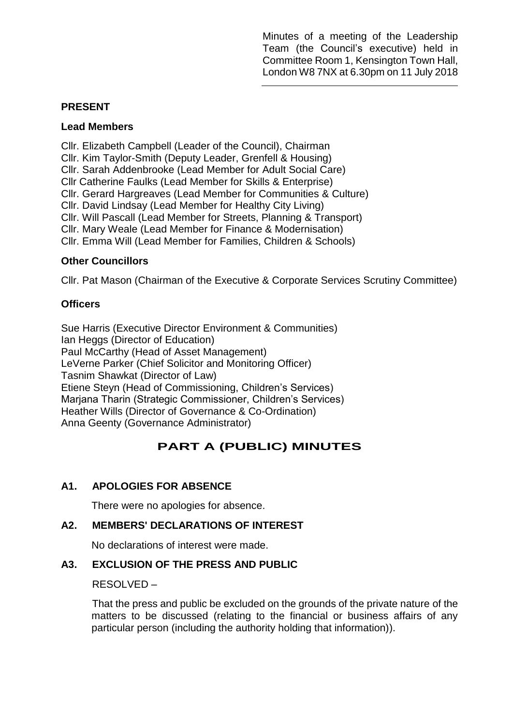Minutes of a meeting of the Leadership Team (the Council's executive) held in Committee Room 1, Kensington Town Hall, London W8 7NX at 6.30pm on 11 July 2018

### **PRESENT**

#### **Lead Members**

Cllr. Elizabeth Campbell (Leader of the Council), Chairman Cllr. Kim Taylor-Smith (Deputy Leader, Grenfell & Housing) Cllr. Sarah Addenbrooke (Lead Member for Adult Social Care) Cllr Catherine Faulks (Lead Member for Skills & Enterprise) Cllr. Gerard Hargreaves (Lead Member for Communities & Culture) Cllr. David Lindsay (Lead Member for Healthy City Living) Cllr. Will Pascall (Lead Member for Streets, Planning & Transport) Cllr. Mary Weale (Lead Member for Finance & Modernisation) Cllr. Emma Will (Lead Member for Families, Children & Schools)

### **Other Councillors**

Cllr. Pat Mason (Chairman of the Executive & Corporate Services Scrutiny Committee)

### **Officers**

Sue Harris (Executive Director Environment & Communities) Ian Heggs (Director of Education) Paul McCarthy (Head of Asset Management) LeVerne Parker (Chief Solicitor and Monitoring Officer) Tasnim Shawkat (Director of Law) Etiene Steyn (Head of Commissioning, Children's Services) Marjana Tharin (Strategic Commissioner, Children's Services) Heather Wills (Director of Governance & Co-Ordination) Anna Geenty (Governance Administrator)

# **PART A (PUBLIC) MINUTES**

### **A1. APOLOGIES FOR ABSENCE**

There were no apologies for absence.

### **A2. MEMBERS' DECLARATIONS OF INTEREST**

No declarations of interest were made.

### **A3. EXCLUSION OF THE PRESS AND PUBLIC**

#### RESOLVED –

That the press and public be excluded on the grounds of the private nature of the matters to be discussed (relating to the financial or business affairs of any particular person (including the authority holding that information)).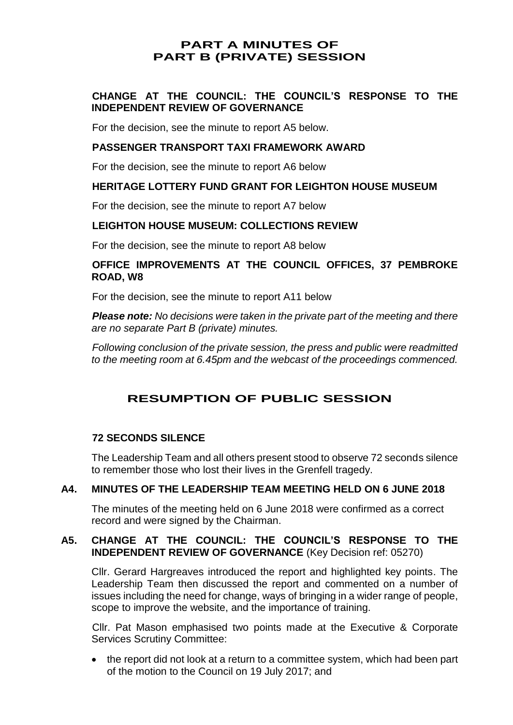## **PART A MINUTES OF PART B (PRIVATE) SESSION**

### **CHANGE AT THE COUNCIL: THE COUNCIL'S RESPONSE TO THE INDEPENDENT REVIEW OF GOVERNANCE**

For the decision, see the minute to report A5 below.

### **PASSENGER TRANSPORT TAXI FRAMEWORK AWARD**

For the decision, see the minute to report A6 below

### **HERITAGE LOTTERY FUND GRANT FOR LEIGHTON HOUSE MUSEUM**

For the decision, see the minute to report A7 below

### **LEIGHTON HOUSE MUSEUM: COLLECTIONS REVIEW**

For the decision, see the minute to report A8 below

### **OFFICE IMPROVEMENTS AT THE COUNCIL OFFICES, 37 PEMBROKE ROAD, W8**

For the decision, see the minute to report A11 below

*Please note: No decisions were taken in the private part of the meeting and there are no separate Part B (private) minutes.*

*Following conclusion of the private session, the press and public were readmitted to the meeting room at 6.45pm and the webcast of the proceedings commenced.*

# **RESUMPTION OF PUBLIC SESSION**

#### **72 SECONDS SILENCE**

The Leadership Team and all others present stood to observe 72 seconds silence to remember those who lost their lives in the Grenfell tragedy.

#### **A4. MINUTES OF THE LEADERSHIP TEAM MEETING HELD ON 6 JUNE 2018**

The minutes of the meeting held on 6 June 2018 were confirmed as a correct record and were signed by the Chairman.

### **A5. CHANGE AT THE COUNCIL: THE COUNCIL'S RESPONSE TO THE INDEPENDENT REVIEW OF GOVERNANCE** (Key Decision ref: 05270)

Cllr. Gerard Hargreaves introduced the report and highlighted key points. The Leadership Team then discussed the report and commented on a number of issues including the need for change, ways of bringing in a wider range of people, scope to improve the website, and the importance of training.

Cllr. Pat Mason emphasised two points made at the Executive & Corporate Services Scrutiny Committee:

 the report did not look at a return to a committee system, which had been part of the motion to the Council on 19 July 2017; and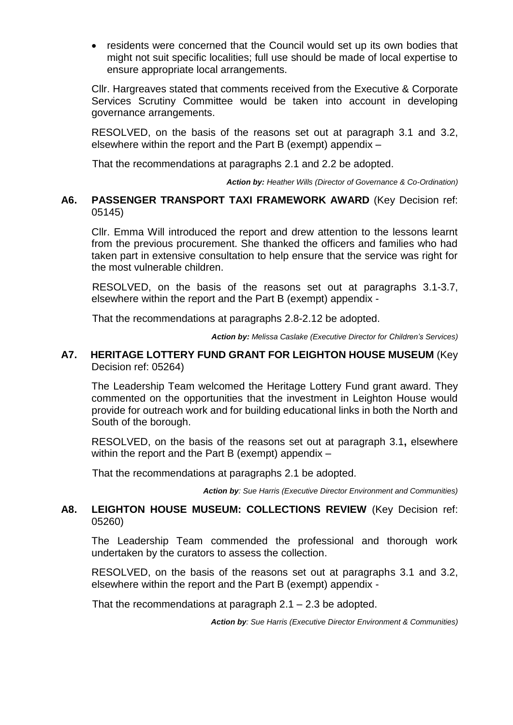• residents were concerned that the Council would set up its own bodies that might not suit specific localities; full use should be made of local expertise to ensure appropriate local arrangements.

Cllr. Hargreaves stated that comments received from the Executive & Corporate Services Scrutiny Committee would be taken into account in developing governance arrangements.

RESOLVED, on the basis of the reasons set out at paragraph 3.1 and 3.2, elsewhere within the report and the Part B (exempt) appendix –

That the recommendations at paragraphs 2.1 and 2.2 be adopted.

*Action by: Heather Wills (Director of Governance & Co-Ordination)*

#### **A6. PASSENGER TRANSPORT TAXI FRAMEWORK AWARD** (Key Decision ref: 05145)

Cllr. Emma Will introduced the report and drew attention to the lessons learnt from the previous procurement. She thanked the officers and families who had taken part in extensive consultation to help ensure that the service was right for the most vulnerable children.

RESOLVED, on the basis of the reasons set out at paragraphs 3.1-3.7, elsewhere within the report and the Part B (exempt) appendix -

That the recommendations at paragraphs 2.8-2.12 be adopted.

*Action by: Melissa Caslake (Executive Director for Children's Services)*

#### **A7. HERITAGE LOTTERY FUND GRANT FOR LEIGHTON HOUSE MUSEUM** (Key Decision ref: 05264)

The Leadership Team welcomed the Heritage Lottery Fund grant award. They commented on the opportunities that the investment in Leighton House would provide for outreach work and for building educational links in both the North and South of the borough.

RESOLVED, on the basis of the reasons set out at paragraph 3.1**,** elsewhere within the report and the Part B (exempt) appendix –

That the recommendations at paragraphs 2.1 be adopted.

*Action by: Sue Harris (Executive Director Environment and Communities)*

### **A8. LEIGHTON HOUSE MUSEUM: COLLECTIONS REVIEW** (Key Decision ref: 05260)

The Leadership Team commended the professional and thorough work undertaken by the curators to assess the collection.

RESOLVED, on the basis of the reasons set out at paragraphs 3.1 and 3.2, elsewhere within the report and the Part B (exempt) appendix -

That the recommendations at paragraph 2.1 – 2.3 be adopted.

*Action by: Sue Harris (Executive Director Environment & Communities)*